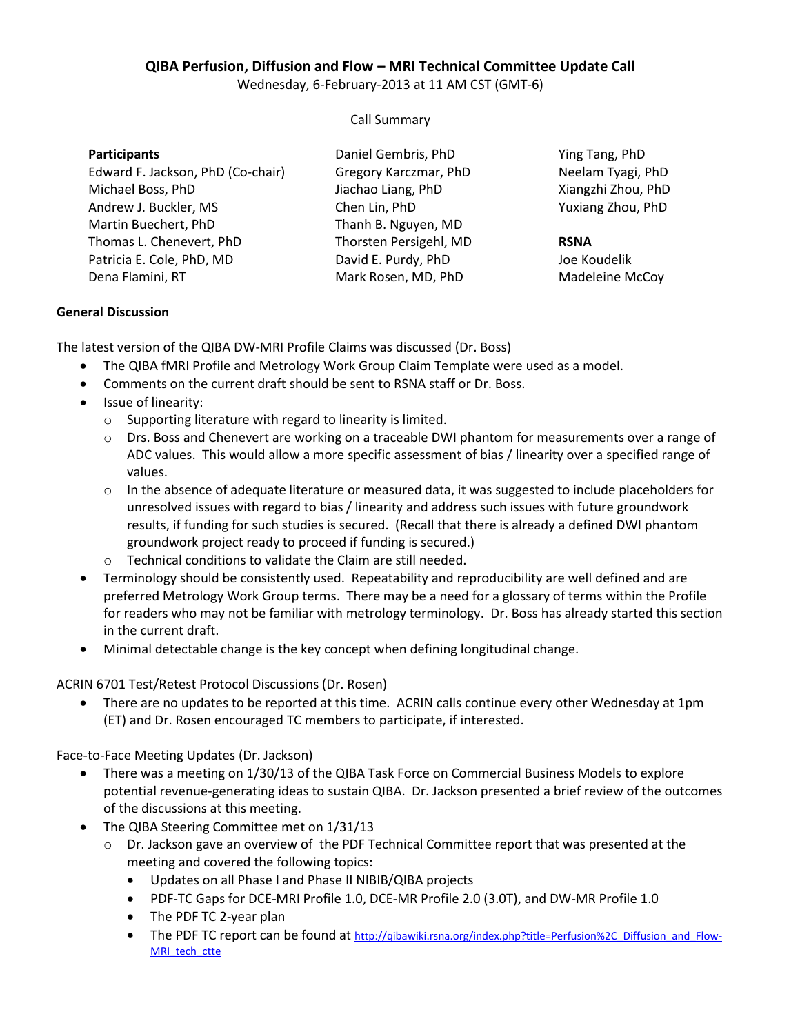## **QIBA Perfusion, Diffusion and Flow – MRI Technical Committee Update Call**

Wednesday, 6-February-2013 at 11 AM CST (GMT-6)

Call Summary

| <b>Participants</b>               | Daniel Gembris, PhD    | Ying Tang, PhD     |
|-----------------------------------|------------------------|--------------------|
| Edward F. Jackson, PhD (Co-chair) | Gregory Karczmar, PhD  | Neelam Tyagi, PhD  |
| Michael Boss, PhD                 | Jiachao Liang, PhD     | Xiangzhi Zhou, PhD |
| Andrew J. Buckler, MS             | Chen Lin, PhD          | Yuxiang Zhou, PhD  |
| Martin Buechert, PhD              | Thanh B. Nguyen, MD    |                    |
| Thomas L. Chenevert, PhD          | Thorsten Persigehl, MD | <b>RSNA</b>        |
| Patricia E. Cole, PhD, MD         | David E. Purdy, PhD    | Joe Koudelik       |
| Dena Flamini, RT                  | Mark Rosen, MD, PhD    | Madeleine McCoy    |

## **General Discussion**

The latest version of the QIBA DW-MRI Profile Claims was discussed (Dr. Boss)

- The QIBA fMRI Profile and Metrology Work Group Claim Template were used as a model.
- Comments on the current draft should be sent to RSNA staff or Dr. Boss.
- Issue of linearity:
	- o Supporting literature with regard to linearity is limited.
	- o Drs. Boss and Chenevert are working on a traceable DWI phantom for measurements over a range of ADC values. This would allow a more specific assessment of bias / linearity over a specified range of values.
	- $\circ$  In the absence of adequate literature or measured data, it was suggested to include placeholders for unresolved issues with regard to bias / linearity and address such issues with future groundwork results, if funding for such studies is secured. (Recall that there is already a defined DWI phantom groundwork project ready to proceed if funding is secured.)
	- o Technical conditions to validate the Claim are still needed.
- Terminology should be consistently used. Repeatability and reproducibility are well defined and are preferred Metrology Work Group terms. There may be a need for a glossary of terms within the Profile for readers who may not be familiar with metrology terminology. Dr. Boss has already started this section in the current draft.
- Minimal detectable change is the key concept when defining longitudinal change.

ACRIN 6701 Test/Retest Protocol Discussions (Dr. Rosen)

 There are no updates to be reported at this time. ACRIN calls continue every other Wednesday at 1pm (ET) and Dr. Rosen encouraged TC members to participate, if interested.

Face-to-Face Meeting Updates (Dr. Jackson)

- There was a meeting on 1/30/13 of the QIBA Task Force on Commercial Business Models to explore potential revenue-generating ideas to sustain QIBA. Dr. Jackson presented a brief review of the outcomes of the discussions at this meeting.
- The QIBA Steering Committee met on 1/31/13
	- $\circ$  Dr. Jackson gave an overview of the PDF Technical Committee report that was presented at the meeting and covered the following topics:
		- Updates on all Phase I and Phase II NIBIB/QIBA projects
		- PDF-TC Gaps for DCE-MRI Profile 1.0, DCE-MR Profile 2.0 (3.0T), and DW-MR Profile 1.0
		- The PDF TC 2-year plan
		- The PDF TC report can be found at [http://qibawiki.rsna.org/index.php?title=Perfusion%2C\\_Diffusion\\_and\\_Flow-](http://qibawiki.rsna.org/index.php?title=Perfusion%2C_Diffusion_and_Flow-MRI_tech_ctte)[MRI\\_tech\\_ctte](http://qibawiki.rsna.org/index.php?title=Perfusion%2C_Diffusion_and_Flow-MRI_tech_ctte)